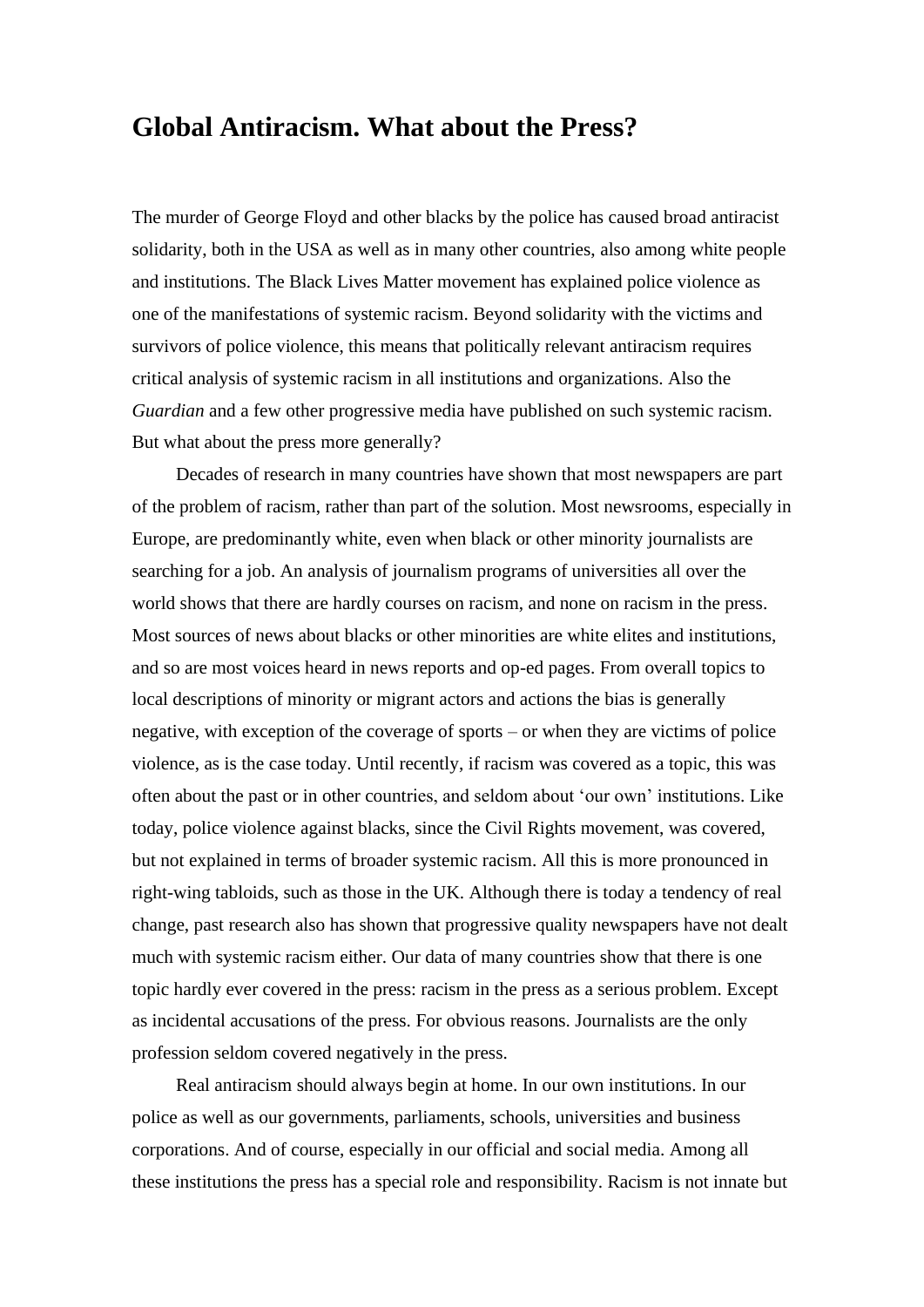## **Global Antiracism. What about the Press?**

The murder of George Floyd and other blacks by the police has caused broad antiracist solidarity, both in the USA as well as in many other countries, also among white people and institutions. The Black Lives Matter movement has explained police violence as one of the manifestations of systemic racism. Beyond solidarity with the victims and survivors of police violence, this means that politically relevant antiracism requires critical analysis of systemic racism in all institutions and organizations. Also the *Guardian* and a few other progressive media have published on such systemic racism. But what about the press more generally?

Decades of research in many countries have shown that most newspapers are part of the problem of racism, rather than part of the solution. Most newsrooms, especially in Europe, are predominantly white, even when black or other minority journalists are searching for a job. An analysis of journalism programs of universities all over the world shows that there are hardly courses on racism, and none on racism in the press. Most sources of news about blacks or other minorities are white elites and institutions, and so are most voices heard in news reports and op-ed pages. From overall topics to local descriptions of minority or migrant actors and actions the bias is generally negative, with exception of the coverage of sports – or when they are victims of police violence, as is the case today. Until recently, if racism was covered as a topic, this was often about the past or in other countries, and seldom about 'our own' institutions. Like today, police violence against blacks, since the Civil Rights movement, was covered, but not explained in terms of broader systemic racism. All this is more pronounced in right-wing tabloids, such as those in the UK. Although there is today a tendency of real change, past research also has shown that progressive quality newspapers have not dealt much with systemic racism either. Our data of many countries show that there is one topic hardly ever covered in the press: racism in the press as a serious problem. Except as incidental accusations of the press. For obvious reasons. Journalists are the only profession seldom covered negatively in the press.

Real antiracism should always begin at home. In our own institutions. In our police as well as our governments, parliaments, schools, universities and business corporations. And of course, especially in our official and social media. Among all these institutions the press has a special role and responsibility. Racism is not innate but